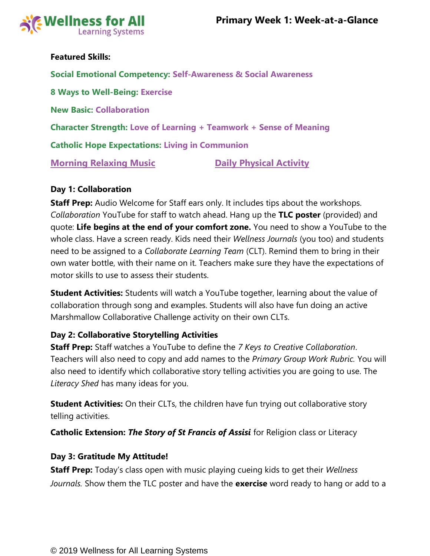

# **Featured Skills:**

**Social Emotional Competency: Self-Awareness & Social Awareness 8 Ways to Well-Being: Exercise New Basic: Collaboration Character Strength: Love of Learning + Teamwork + Sense of Meaning Catholic Hope Expectations: Living in Communion [Morning Relaxing Music](https://www.youtube.com/watch?v=YxfnUPqWV0k) <b>Communist Constructs** Daily Physical Activity

# **Day 1: Collaboration**

**Staff Prep:** Audio Welcome for Staff ears only. It includes tips about the workshops. *Collaboration* YouTube for staff to watch ahead. Hang up the **TLC poster** (provided) and quote: **Life begins at the end of your comfort zone.** You need to show a YouTube to the whole class. Have a screen ready. Kids need their *Wellness Journals* (you too) and students need to be assigned to a *Collaborate Learning Team* (CLT). Remind them to bring in their own water bottle, with their name on it. Teachers make sure they have the expectations of motor skills to use to assess their students.

**Student Activities:** Students will watch a YouTube together, learning about the value of collaboration through song and examples. Students will also have fun doing an active Marshmallow Collaborative Challenge activity on their own CLTs.

# **Day 2: Collaborative Storytelling Activities**

**Staff Prep:** Staff watches a YouTube to define the *7 Keys to Creative Collaboration*. Teachers will also need to copy and add names to the *Primary Group Work Rubric.* You will also need to identify which collaborative story telling activities you are going to use. The *Literacy Shed* has many ideas for you.

**Student Activities:** On their CLTs, the children have fun trying out collaborative story telling activities.

**Catholic Extension:** *The Story of St Francis of Assisi* for Religion class or Literacy

### **Day 3: Gratitude My Attitude!**

**Staff Prep:** Today's class open with music playing cueing kids to get their *Wellness Journals.* Show them the TLC poster and have the **exercise** word ready to hang or add to a